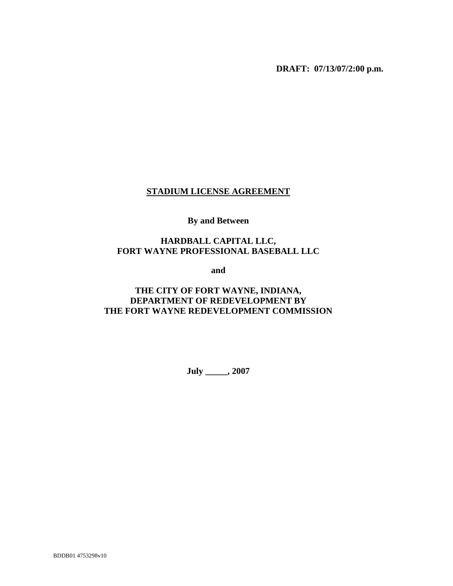**DRAFT: 07/13/07/2:00 p.m.** 

#### **STADIUM LICENSE AGREEMENT**

# **By and Between**

#### **HARDBALL CAPITAL LLC, FORT WAYNE PROFESSIONAL BASEBALL LLC**

**and** 

## **THE CITY OF FORT WAYNE, INDIANA, DEPARTMENT OF REDEVELOPMENT BY THE FORT WAYNE REDEVELOPMENT COMMISSION**

**July \_\_\_\_\_, 2007**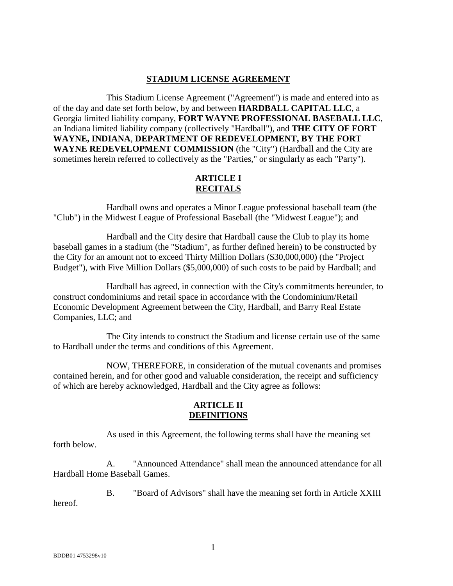#### **STADIUM LICENSE AGREEMENT**

This Stadium License Agreement ("Agreement") is made and entered into as of the day and date set forth below, by and between **HARDBALL CAPITAL LLC**, a Georgia limited liability company, **FORT WAYNE PROFESSIONAL BASEBALL LLC**, an Indiana limited liability company (collectively "Hardball"), and **THE CITY OF FORT WAYNE, INDIANA**, **DEPARTMENT OF REDEVELOPMENT, BY THE FORT WAYNE REDEVELOPMENT COMMISSION** (the "City") (Hardball and the City are sometimes herein referred to collectively as the "Parties," or singularly as each "Party").

## **ARTICLE I RECITALS**

Hardball owns and operates a Minor League professional baseball team (the "Club") in the Midwest League of Professional Baseball (the "Midwest League"); and

Hardball and the City desire that Hardball cause the Club to play its home baseball games in a stadium (the "Stadium", as further defined herein) to be constructed by the City for an amount not to exceed Thirty Million Dollars (\$30,000,000) (the "Project Budget"), with Five Million Dollars (\$5,000,000) of such costs to be paid by Hardball; and

Hardball has agreed, in connection with the City's commitments hereunder, to construct condominiums and retail space in accordance with the Condominium/Retail Economic Development Agreement between the City, Hardball, and Barry Real Estate Companies, LLC; and

The City intends to construct the Stadium and license certain use of the same to Hardball under the terms and conditions of this Agreement.

NOW, THEREFORE, in consideration of the mutual covenants and promises contained herein, and for other good and valuable consideration, the receipt and sufficiency of which are hereby acknowledged, Hardball and the City agree as follows:

### **ARTICLE II DEFINITIONS**

As used in this Agreement, the following terms shall have the meaning set forth below.

A. "Announced Attendance" shall mean the announced attendance for all Hardball Home Baseball Games.

B. "Board of Advisors" shall have the meaning set forth in Article XXIII hereof.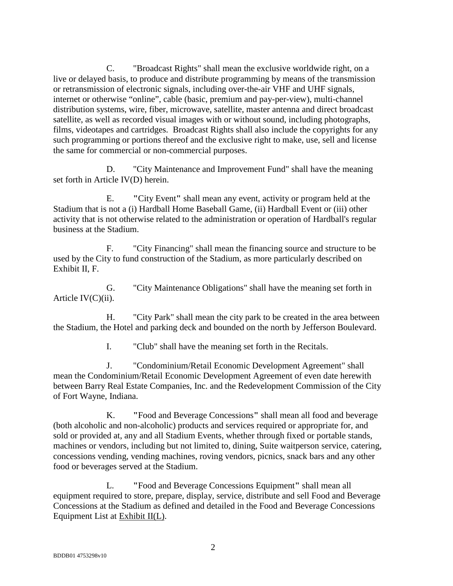C. "Broadcast Rights" shall mean the exclusive worldwide right, on a live or delayed basis, to produce and distribute programming by means of the transmission or retransmission of electronic signals, including over-the-air VHF and UHF signals, internet or otherwise "online", cable (basic, premium and pay-per-view), multi-channel distribution systems, wire, fiber, microwave, satellite, master antenna and direct broadcast satellite, as well as recorded visual images with or without sound, including photographs, films, videotapes and cartridges. Broadcast Rights shall also include the copyrights for any such programming or portions thereof and the exclusive right to make, use, sell and license the same for commercial or non-commercial purposes.

D. "City Maintenance and Improvement Fund" shall have the meaning set forth in Article IV(D) herein.

E. **"**City Event**"** shall mean any event, activity or program held at the Stadium that is not a (i) Hardball Home Baseball Game, (ii) Hardball Event or (iii) other activity that is not otherwise related to the administration or operation of Hardball's regular business at the Stadium.

F. "City Financing" shall mean the financing source and structure to be used by the City to fund construction of the Stadium, as more particularly described on Exhibit II, F.

G. "City Maintenance Obligations" shall have the meaning set forth in Article IV(C)(ii).

H. "City Park" shall mean the city park to be created in the area between the Stadium, the Hotel and parking deck and bounded on the north by Jefferson Boulevard.

I. "Club" shall have the meaning set forth in the Recitals.

J. "Condominium/Retail Economic Development Agreement" shall mean the Condominium/Retail Economic Development Agreement of even date herewith between Barry Real Estate Companies, Inc. and the Redevelopment Commission of the City of Fort Wayne, Indiana.

K. **"**Food and Beverage Concessions**"** shall mean all food and beverage (both alcoholic and non-alcoholic) products and services required or appropriate for, and sold or provided at, any and all Stadium Events, whether through fixed or portable stands, machines or vendors, including but not limited to, dining, Suite waitperson service, catering, concessions vending, vending machines, roving vendors, picnics, snack bars and any other food or beverages served at the Stadium.

L. **"**Food and Beverage Concessions Equipment**"** shall mean all equipment required to store, prepare, display, service, distribute and sell Food and Beverage Concessions at the Stadium as defined and detailed in the Food and Beverage Concessions Equipment List at Exhibit II(L).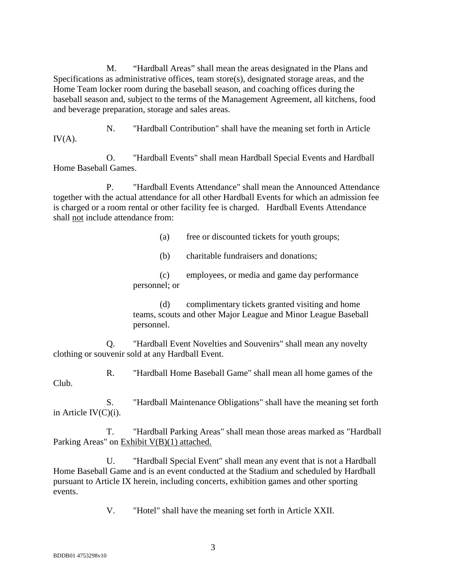M. "Hardball Areas" shall mean the areas designated in the Plans and Specifications as administrative offices, team store(s), designated storage areas, and the Home Team locker room during the baseball season, and coaching offices during the baseball season and, subject to the terms of the Management Agreement, all kitchens, food and beverage preparation, storage and sales areas.

N. "Hardball Contribution" shall have the meaning set forth in Article  $IV(A).$ 

O. "Hardball Events" shall mean Hardball Special Events and Hardball Home Baseball Games.

P. "Hardball Events Attendance" shall mean the Announced Attendance together with the actual attendance for all other Hardball Events for which an admission fee is charged or a room rental or other facility fee is charged. Hardball Events Attendance shall not include attendance from:

(a) free or discounted tickets for youth groups;

(b) charitable fundraisers and donations;

(c) employees, or media and game day performance personnel; or

(d) complimentary tickets granted visiting and home teams, scouts and other Major League and Minor League Baseball personnel.

Q. "Hardball Event Novelties and Souvenirs" shall mean any novelty clothing or souvenir sold at any Hardball Event.

R. "Hardball Home Baseball Game" shall mean all home games of the Club.

S. "Hardball Maintenance Obligations" shall have the meaning set forth in Article IV(C)(i).

T. "Hardball Parking Areas" shall mean those areas marked as "Hardball Parking Areas" on Exhibit V(B)(1) attached.

U. "Hardball Special Event" shall mean any event that is not a Hardball Home Baseball Game and is an event conducted at the Stadium and scheduled by Hardball pursuant to Article IX herein, including concerts, exhibition games and other sporting events.

V. "Hotel" shall have the meaning set forth in Article XXII.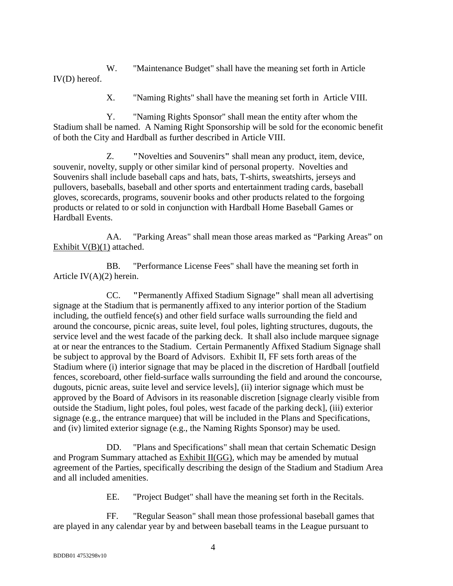W. "Maintenance Budget" shall have the meaning set forth in Article IV(D) hereof.

X. "Naming Rights" shall have the meaning set forth in Article VIII.

Y. "Naming Rights Sponsor" shall mean the entity after whom the Stadium shall be named. A Naming Right Sponsorship will be sold for the economic benefit of both the City and Hardball as further described in Article VIII.

Z. **"**Novelties and Souvenirs**"** shall mean any product, item, device, souvenir, novelty, supply or other similar kind of personal property. Novelties and Souvenirs shall include baseball caps and hats, bats, T-shirts, sweatshirts, jerseys and pullovers, baseballs, baseball and other sports and entertainment trading cards, baseball gloves, scorecards, programs, souvenir books and other products related to the forgoing products or related to or sold in conjunction with Hardball Home Baseball Games or Hardball Events.

AA. "Parking Areas" shall mean those areas marked as "Parking Areas" on Exhibit V(B)(1) attached.

BB. "Performance License Fees" shall have the meaning set forth in Article IV(A)(2) herein.

CC. **"**Permanently Affixed Stadium Signage**"** shall mean all advertising signage at the Stadium that is permanently affixed to any interior portion of the Stadium including, the outfield fence(s) and other field surface walls surrounding the field and around the concourse, picnic areas, suite level, foul poles, lighting structures, dugouts, the service level and the west facade of the parking deck. It shall also include marquee signage at or near the entrances to the Stadium. Certain Permanently Affixed Stadium Signage shall be subject to approval by the Board of Advisors. Exhibit II, FF sets forth areas of the Stadium where (i) interior signage that may be placed in the discretion of Hardball [outfield fences, scoreboard, other field-surface walls surrounding the field and around the concourse, dugouts, picnic areas, suite level and service levels], (ii) interior signage which must be approved by the Board of Advisors in its reasonable discretion [signage clearly visible from outside the Stadium, light poles, foul poles, west facade of the parking deck], (iii) exterior signage (e.g., the entrance marquee) that will be included in the Plans and Specifications, and (iv) limited exterior signage (e.g., the Naming Rights Sponsor) may be used.

DD. "Plans and Specifications" shall mean that certain Schematic Design and Program Summary attached as Exhibit II(GG), which may be amended by mutual agreement of the Parties, specifically describing the design of the Stadium and Stadium Area and all included amenities.

EE. "Project Budget" shall have the meaning set forth in the Recitals.

FF. "Regular Season" shall mean those professional baseball games that are played in any calendar year by and between baseball teams in the League pursuant to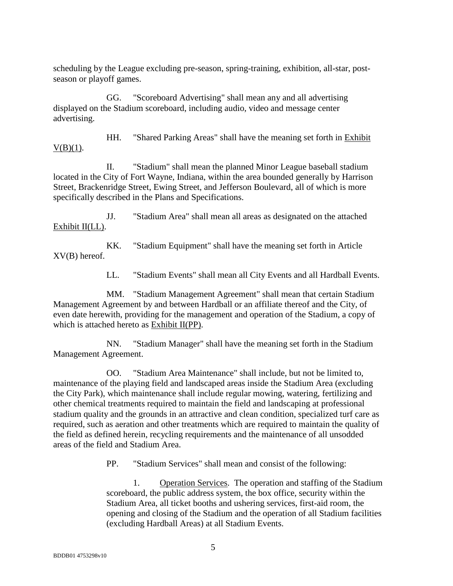scheduling by the League excluding pre-season, spring-training, exhibition, all-star, postseason or playoff games.

GG. "Scoreboard Advertising" shall mean any and all advertising displayed on the Stadium scoreboard, including audio, video and message center advertising.

HH. "Shared Parking Areas" shall have the meaning set forth in Exhibit  $V(B)(1)$ .

II. "Stadium" shall mean the planned Minor League baseball stadium located in the City of Fort Wayne, Indiana, within the area bounded generally by Harrison Street, Brackenridge Street, Ewing Street, and Jefferson Boulevard, all of which is more specifically described in the Plans and Specifications.

JJ. "Stadium Area" shall mean all areas as designated on the attached Exhibit II(LL).

KK. "Stadium Equipment" shall have the meaning set forth in Article XV(B) hereof.

LL. "Stadium Events" shall mean all City Events and all Hardball Events.

MM. "Stadium Management Agreement" shall mean that certain Stadium Management Agreement by and between Hardball or an affiliate thereof and the City, of even date herewith, providing for the management and operation of the Stadium, a copy of which is attached hereto as Exhibit II(PP).

NN. "Stadium Manager" shall have the meaning set forth in the Stadium Management Agreement.

OO. "Stadium Area Maintenance" shall include, but not be limited to, maintenance of the playing field and landscaped areas inside the Stadium Area (excluding the City Park), which maintenance shall include regular mowing, watering, fertilizing and other chemical treatments required to maintain the field and landscaping at professional stadium quality and the grounds in an attractive and clean condition, specialized turf care as required, such as aeration and other treatments which are required to maintain the quality of the field as defined herein, recycling requirements and the maintenance of all unsodded areas of the field and Stadium Area.

PP. "Stadium Services" shall mean and consist of the following:

1. Operation Services. The operation and staffing of the Stadium scoreboard, the public address system, the box office, security within the Stadium Area, all ticket booths and ushering services, first-aid room, the opening and closing of the Stadium and the operation of all Stadium facilities (excluding Hardball Areas) at all Stadium Events.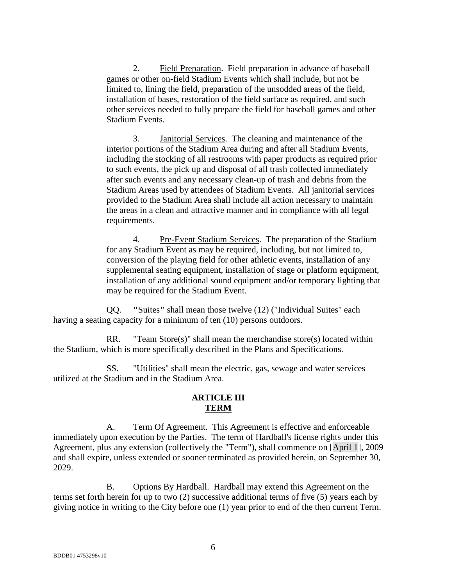2. Field Preparation. Field preparation in advance of baseball games or other on-field Stadium Events which shall include, but not be limited to, lining the field, preparation of the unsodded areas of the field, installation of bases, restoration of the field surface as required, and such other services needed to fully prepare the field for baseball games and other Stadium Events.

3. Janitorial Services. The cleaning and maintenance of the interior portions of the Stadium Area during and after all Stadium Events, including the stocking of all restrooms with paper products as required prior to such events, the pick up and disposal of all trash collected immediately after such events and any necessary clean-up of trash and debris from the Stadium Areas used by attendees of Stadium Events. All janitorial services provided to the Stadium Area shall include all action necessary to maintain the areas in a clean and attractive manner and in compliance with all legal requirements.

4. Pre-Event Stadium Services. The preparation of the Stadium for any Stadium Event as may be required, including, but not limited to, conversion of the playing field for other athletic events, installation of any supplemental seating equipment, installation of stage or platform equipment, installation of any additional sound equipment and/or temporary lighting that may be required for the Stadium Event.

QQ. **"**Suites**"** shall mean those twelve (12) ("Individual Suites" each having a seating capacity for a minimum of ten (10) persons outdoors.

RR. "Team Store(s)" shall mean the merchandise store(s) located within the Stadium, which is more specifically described in the Plans and Specifications.

SS. "Utilities" shall mean the electric, gas, sewage and water services utilized at the Stadium and in the Stadium Area.

#### **ARTICLE III TERM**

A. Term Of Agreement. This Agreement is effective and enforceable immediately upon execution by the Parties. The term of Hardball's license rights under this Agreement, plus any extension (collectively the "Term"), shall commence on [April 1], 2009 and shall expire, unless extended or sooner terminated as provided herein, on September 30, 2029.

B. Options By Hardball. Hardball may extend this Agreement on the terms set forth herein for up to two (2) successive additional terms of five (5) years each by giving notice in writing to the City before one (1) year prior to end of the then current Term.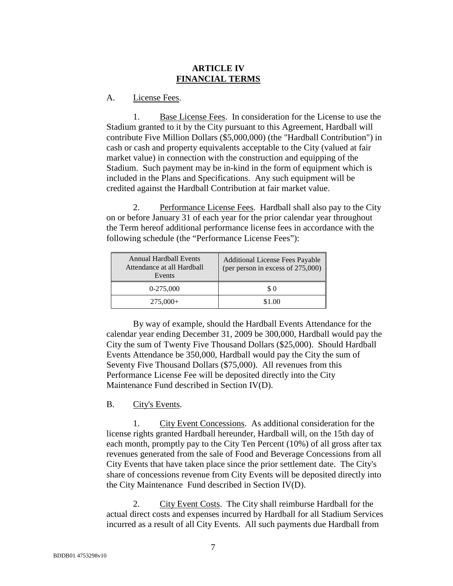#### **ARTICLE IV FINANCIAL TERMS**

#### A. License Fees.

1. Base License Fees. In consideration for the License to use the Stadium granted to it by the City pursuant to this Agreement, Hardball will contribute Five Million Dollars (\$5,000,000) (the "Hardball Contribution") in cash or cash and property equivalents acceptable to the City (valued at fair market value) in connection with the construction and equipping of the Stadium. Such payment may be in-kind in the form of equipment which is included in the Plans and Specifications. Any such equipment will be credited against the Hardball Contribution at fair market value.

2. Performance License Fees. Hardball shall also pay to the City on or before January 31 of each year for the prior calendar year throughout the Term hereof additional performance license fees in accordance with the following schedule (the "Performance License Fees"):

| <b>Annual Hardball Events</b><br>Attendance at all Hardball<br>Events | <b>Additional License Fees Payable</b><br>(per person in excess of 275,000) |
|-----------------------------------------------------------------------|-----------------------------------------------------------------------------|
| $0-275,000$                                                           | \$ 0                                                                        |
| $275,000+$                                                            | \$1.00                                                                      |

 By way of example, should the Hardball Events Attendance for the calendar year ending December 31, 2009 be 300,000, Hardball would pay the City the sum of Twenty Five Thousand Dollars (\$25,000). Should Hardball Events Attendance be 350,000, Hardball would pay the City the sum of Seventy Five Thousand Dollars (\$75,000). All revenues from this Performance License Fee will be deposited directly into the City Maintenance Fund described in Section IV(D).

#### B. City's Events.

1. City Event Concessions. As additional consideration for the license rights granted Hardball hereunder, Hardball will, on the 15th day of each month, promptly pay to the City Ten Percent (10%) of all gross after tax revenues generated from the sale of Food and Beverage Concessions from all City Events that have taken place since the prior settlement date. The City's share of concessions revenue from City Events will be deposited directly into the City Maintenance Fund described in Section IV(D).

2. City Event Costs. The City shall reimburse Hardball for the actual direct costs and expenses incurred by Hardball for all Stadium Services incurred as a result of all City Events. All such payments due Hardball from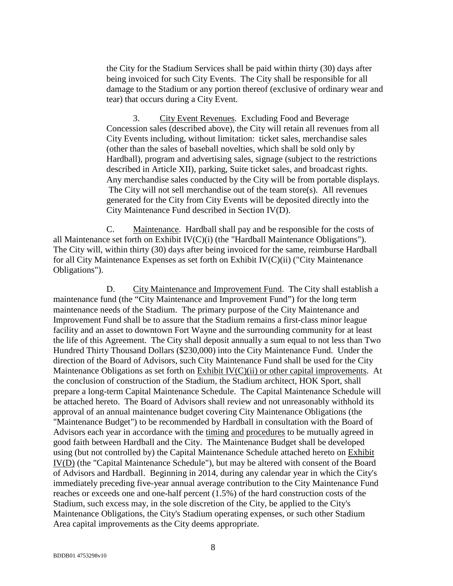the City for the Stadium Services shall be paid within thirty (30) days after being invoiced for such City Events. The City shall be responsible for all damage to the Stadium or any portion thereof (exclusive of ordinary wear and tear) that occurs during a City Event.

3. City Event Revenues. Excluding Food and Beverage Concession sales (described above), the City will retain all revenues from all City Events including, without limitation: ticket sales, merchandise sales (other than the sales of baseball novelties, which shall be sold only by Hardball), program and advertising sales, signage (subject to the restrictions described in Article XII), parking, Suite ticket sales, and broadcast rights. Any merchandise sales conducted by the City will be from portable displays. The City will not sell merchandise out of the team store(s). All revenues generated for the City from City Events will be deposited directly into the City Maintenance Fund described in Section IV(D).

C. Maintenance. Hardball shall pay and be responsible for the costs of all Maintenance set forth on Exhibit IV(C)(i) (the "Hardball Maintenance Obligations"). The City will, within thirty (30) days after being invoiced for the same, reimburse Hardball for all City Maintenance Expenses as set forth on Exhibit IV(C)(ii) ("City Maintenance Obligations").

D. City Maintenance and Improvement Fund. The City shall establish a maintenance fund (the "City Maintenance and Improvement Fund") for the long term maintenance needs of the Stadium. The primary purpose of the City Maintenance and Improvement Fund shall be to assure that the Stadium remains a first-class minor league facility and an asset to downtown Fort Wayne and the surrounding community for at least the life of this Agreement. The City shall deposit annually a sum equal to not less than Two Hundred Thirty Thousand Dollars (\$230,000) into the City Maintenance Fund. Under the direction of the Board of Advisors, such City Maintenance Fund shall be used for the City Maintenance Obligations as set forth on Exhibit IV(C)(ii) or other capital improvements. At the conclusion of construction of the Stadium, the Stadium architect, HOK Sport, shall prepare a long-term Capital Maintenance Schedule. The Capital Maintenance Schedule will be attached hereto. The Board of Advisors shall review and not unreasonably withhold its approval of an annual maintenance budget covering City Maintenance Obligations (the "Maintenance Budget") to be recommended by Hardball in consultation with the Board of Advisors each year in accordance with the timing and procedures to be mutually agreed in good faith between Hardball and the City. The Maintenance Budget shall be developed using (but not controlled by) the Capital Maintenance Schedule attached hereto on Exhibit IV(D) (the "Capital Maintenance Schedule"), but may be altered with consent of the Board of Advisors and Hardball. Beginning in 2014, during any calendar year in which the City's immediately preceding five-year annual average contribution to the City Maintenance Fund reaches or exceeds one and one-half percent (1.5%) of the hard construction costs of the Stadium, such excess may, in the sole discretion of the City, be applied to the City's Maintenance Obligations, the City's Stadium operating expenses, or such other Stadium Area capital improvements as the City deems appropriate.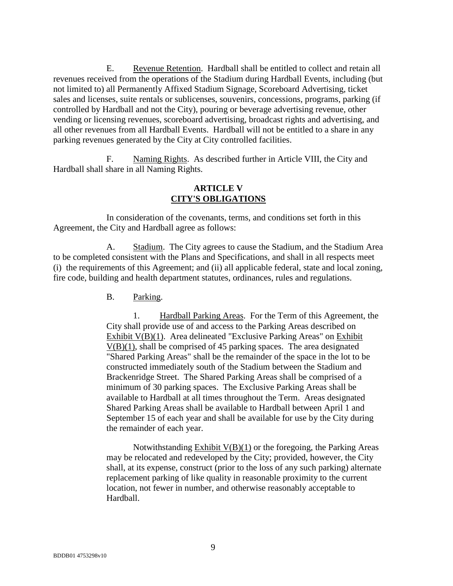E. Revenue Retention. Hardball shall be entitled to collect and retain all revenues received from the operations of the Stadium during Hardball Events, including (but not limited to) all Permanently Affixed Stadium Signage, Scoreboard Advertising, ticket sales and licenses, suite rentals or sublicenses, souvenirs, concessions, programs, parking (if controlled by Hardball and not the City), pouring or beverage advertising revenue, other vending or licensing revenues, scoreboard advertising, broadcast rights and advertising, and all other revenues from all Hardball Events. Hardball will not be entitled to a share in any parking revenues generated by the City at City controlled facilities.

F. Naming Rights. As described further in Article VIII, the City and Hardball shall share in all Naming Rights.

## **ARTICLE V CITY'S OBLIGATIONS**

In consideration of the covenants, terms, and conditions set forth in this Agreement, the City and Hardball agree as follows:

A. Stadium. The City agrees to cause the Stadium, and the Stadium Area to be completed consistent with the Plans and Specifications, and shall in all respects meet (i) the requirements of this Agreement; and (ii) all applicable federal, state and local zoning, fire code, building and health department statutes, ordinances, rules and regulations.

B. Parking.

1. Hardball Parking Areas. For the Term of this Agreement, the City shall provide use of and access to the Parking Areas described on Exhibit V(B)(1). Area delineated "Exclusive Parking Areas" on Exhibit V(B)(1), shall be comprised of 45 parking spaces. The area designated "Shared Parking Areas" shall be the remainder of the space in the lot to be constructed immediately south of the Stadium between the Stadium and Brackenridge Street. The Shared Parking Areas shall be comprised of a minimum of 30 parking spaces. The Exclusive Parking Areas shall be available to Hardball at all times throughout the Term. Areas designated Shared Parking Areas shall be available to Hardball between April 1 and September 15 of each year and shall be available for use by the City during the remainder of each year.

Notwithstanding  $Exhibit V(B)(1)$  or the foregoing, the Parking Areas may be relocated and redeveloped by the City; provided, however, the City shall, at its expense, construct (prior to the loss of any such parking) alternate replacement parking of like quality in reasonable proximity to the current location, not fewer in number, and otherwise reasonably acceptable to Hardball.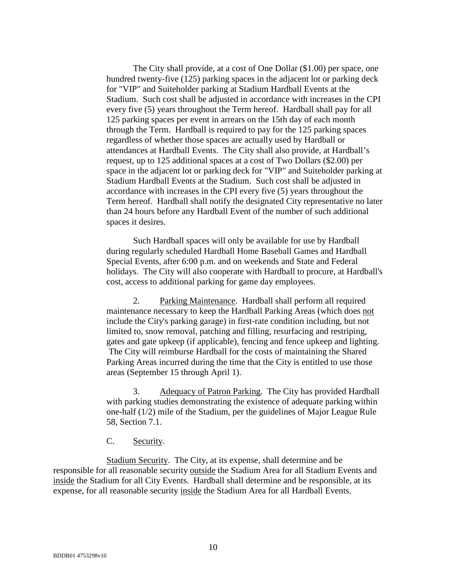The City shall provide, at a cost of One Dollar (\$1.00) per space, one hundred twenty-five (125) parking spaces in the adjacent lot or parking deck for "VIP" and Suiteholder parking at Stadium Hardball Events at the Stadium. Such cost shall be adjusted in accordance with increases in the CPI every five (5) years throughout the Term hereof. Hardball shall pay for all 125 parking spaces per event in arrears on the 15th day of each month through the Term. Hardball is required to pay for the 125 parking spaces regardless of whether those spaces are actually used by Hardball or attendances at Hardball Events. The City shall also provide, at Hardball's request, up to 125 additional spaces at a cost of Two Dollars (\$2.00) per space in the adjacent lot or parking deck for "VIP" and Suiteholder parking at Stadium Hardball Events at the Stadium. Such cost shall be adjusted in accordance with increases in the CPI every five (5) years throughout the Term hereof. Hardball shall notify the designated City representative no later than 24 hours before any Hardball Event of the number of such additional spaces it desires.

Such Hardball spaces will only be available for use by Hardball during regularly scheduled Hardball Home Baseball Games and Hardball Special Events, after 6:00 p.m. and on weekends and State and Federal holidays. The City will also cooperate with Hardball to procure, at Hardball's cost, access to additional parking for game day employees.

2. Parking Maintenance. Hardball shall perform all required maintenance necessary to keep the Hardball Parking Areas (which does not include the City's parking garage) in first-rate condition including, but not limited to, snow removal, patching and filling, resurfacing and restriping, gates and gate upkeep (if applicable), fencing and fence upkeep and lighting. The City will reimburse Hardball for the costs of maintaining the Shared Parking Areas incurred during the time that the City is entitled to use those areas (September 15 through April 1).

3. Adequacy of Patron Parking. The City has provided Hardball with parking studies demonstrating the existence of adequate parking within one-half (1/2) mile of the Stadium, per the guidelines of Major League Rule 58, Section 7.1.

#### C. Security.

Stadium Security. The City, at its expense, shall determine and be responsible for all reasonable security outside the Stadium Area for all Stadium Events and inside the Stadium for all City Events. Hardball shall determine and be responsible, at its expense, for all reasonable security inside the Stadium Area for all Hardball Events.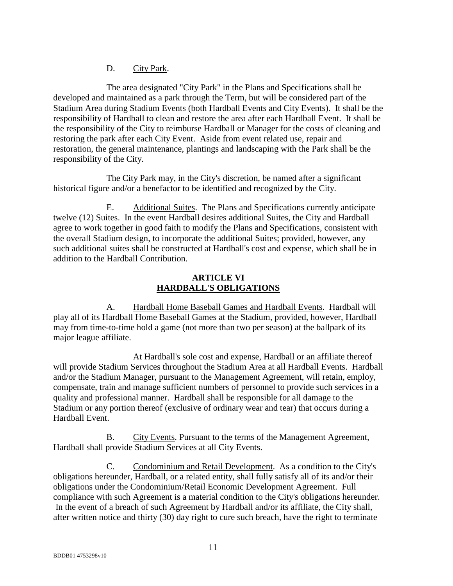D. City Park.

The area designated "City Park" in the Plans and Specifications shall be developed and maintained as a park through the Term, but will be considered part of the Stadium Area during Stadium Events (both Hardball Events and City Events). It shall be the responsibility of Hardball to clean and restore the area after each Hardball Event. It shall be the responsibility of the City to reimburse Hardball or Manager for the costs of cleaning and restoring the park after each City Event. Aside from event related use, repair and restoration, the general maintenance, plantings and landscaping with the Park shall be the responsibility of the City.

The City Park may, in the City's discretion, be named after a significant historical figure and/or a benefactor to be identified and recognized by the City.

E. Additional Suites. The Plans and Specifications currently anticipate twelve (12) Suites. In the event Hardball desires additional Suites, the City and Hardball agree to work together in good faith to modify the Plans and Specifications, consistent with the overall Stadium design, to incorporate the additional Suites; provided, however, any such additional suites shall be constructed at Hardball's cost and expense, which shall be in addition to the Hardball Contribution.

#### **ARTICLE VI HARDBALL'S OBLIGATIONS**

A. Hardball Home Baseball Games and Hardball Events. Hardball will play all of its Hardball Home Baseball Games at the Stadium, provided, however, Hardball may from time-to-time hold a game (not more than two per season) at the ballpark of its major league affiliate.

 At Hardball's sole cost and expense, Hardball or an affiliate thereof will provide Stadium Services throughout the Stadium Area at all Hardball Events. Hardball and/or the Stadium Manager, pursuant to the Management Agreement, will retain, employ, compensate, train and manage sufficient numbers of personnel to provide such services in a quality and professional manner. Hardball shall be responsible for all damage to the Stadium or any portion thereof (exclusive of ordinary wear and tear) that occurs during a Hardball Event.

B. City Events. Pursuant to the terms of the Management Agreement, Hardball shall provide Stadium Services at all City Events.

C. Condominium and Retail Development. As a condition to the City's obligations hereunder, Hardball, or a related entity, shall fully satisfy all of its and/or their obligations under the Condominium/Retail Economic Development Agreement. Full compliance with such Agreement is a material condition to the City's obligations hereunder. In the event of a breach of such Agreement by Hardball and/or its affiliate, the City shall, after written notice and thirty (30) day right to cure such breach, have the right to terminate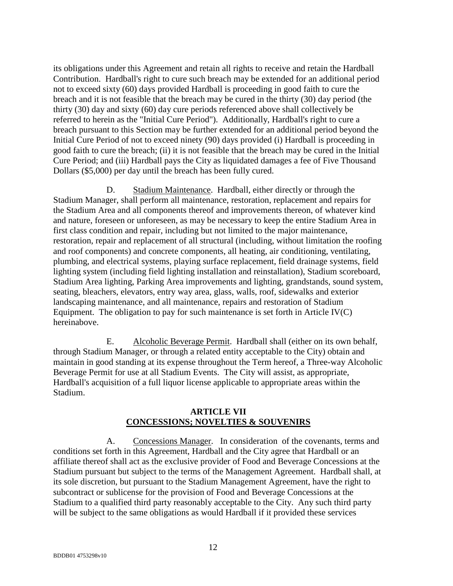its obligations under this Agreement and retain all rights to receive and retain the Hardball Contribution. Hardball's right to cure such breach may be extended for an additional period not to exceed sixty (60) days provided Hardball is proceeding in good faith to cure the breach and it is not feasible that the breach may be cured in the thirty (30) day period (the thirty (30) day and sixty (60) day cure periods referenced above shall collectively be referred to herein as the "Initial Cure Period"). Additionally, Hardball's right to cure a breach pursuant to this Section may be further extended for an additional period beyond the Initial Cure Period of not to exceed ninety (90) days provided (i) Hardball is proceeding in good faith to cure the breach; (ii) it is not feasible that the breach may be cured in the Initial Cure Period; and (iii) Hardball pays the City as liquidated damages a fee of Five Thousand Dollars (\$5,000) per day until the breach has been fully cured.

D. Stadium Maintenance. Hardball, either directly or through the Stadium Manager, shall perform all maintenance, restoration, replacement and repairs for the Stadium Area and all components thereof and improvements thereon, of whatever kind and nature, foreseen or unforeseen, as may be necessary to keep the entire Stadium Area in first class condition and repair, including but not limited to the major maintenance, restoration, repair and replacement of all structural (including, without limitation the roofing and roof components) and concrete components, all heating, air conditioning, ventilating, plumbing, and electrical systems, playing surface replacement, field drainage systems, field lighting system (including field lighting installation and reinstallation), Stadium scoreboard, Stadium Area lighting, Parking Area improvements and lighting, grandstands, sound system, seating, bleachers, elevators, entry way area, glass, walls, roof, sidewalks and exterior landscaping maintenance, and all maintenance, repairs and restoration of Stadium Equipment. The obligation to pay for such maintenance is set forth in Article  $IV(C)$ hereinabove.

E. Alcoholic Beverage Permit. Hardball shall (either on its own behalf, through Stadium Manager, or through a related entity acceptable to the City) obtain and maintain in good standing at its expense throughout the Term hereof, a Three-way Alcoholic Beverage Permit for use at all Stadium Events. The City will assist, as appropriate, Hardball's acquisition of a full liquor license applicable to appropriate areas within the Stadium.

### **ARTICLE VII CONCESSIONS; NOVELTIES & SOUVENIRS**

A. Concessions Manager. In consideration of the covenants, terms and conditions set forth in this Agreement, Hardball and the City agree that Hardball or an affiliate thereof shall act as the exclusive provider of Food and Beverage Concessions at the Stadium pursuant but subject to the terms of the Management Agreement. Hardball shall, at its sole discretion, but pursuant to the Stadium Management Agreement, have the right to subcontract or sublicense for the provision of Food and Beverage Concessions at the Stadium to a qualified third party reasonably acceptable to the City. Any such third party will be subject to the same obligations as would Hardball if it provided these services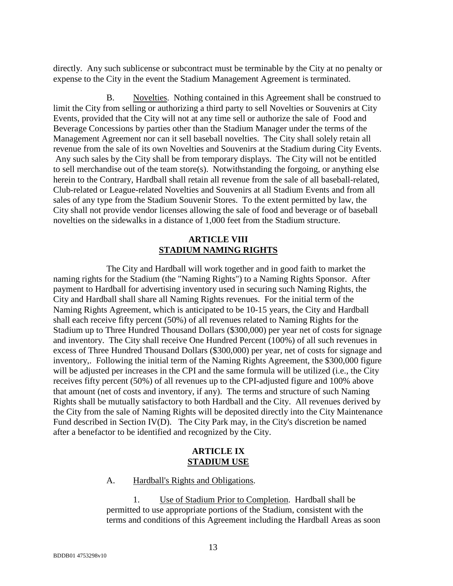directly. Any such sublicense or subcontract must be terminable by the City at no penalty or expense to the City in the event the Stadium Management Agreement is terminated.

B. Novelties. Nothing contained in this Agreement shall be construed to limit the City from selling or authorizing a third party to sell Novelties or Souvenirs at City Events, provided that the City will not at any time sell or authorize the sale of Food and Beverage Concessions by parties other than the Stadium Manager under the terms of the Management Agreement nor can it sell baseball novelties. The City shall solely retain all revenue from the sale of its own Novelties and Souvenirs at the Stadium during City Events. Any such sales by the City shall be from temporary displays. The City will not be entitled to sell merchandise out of the team store(s). Notwithstanding the forgoing, or anything else herein to the Contrary, Hardball shall retain all revenue from the sale of all baseball-related, Club-related or League-related Novelties and Souvenirs at all Stadium Events and from all sales of any type from the Stadium Souvenir Stores. To the extent permitted by law, the City shall not provide vendor licenses allowing the sale of food and beverage or of baseball novelties on the sidewalks in a distance of 1,000 feet from the Stadium structure.

#### **ARTICLE VIII STADIUM NAMING RIGHTS**

The City and Hardball will work together and in good faith to market the naming rights for the Stadium (the "Naming Rights") to a Naming Rights Sponsor. After payment to Hardball for advertising inventory used in securing such Naming Rights, the City and Hardball shall share all Naming Rights revenues. For the initial term of the Naming Rights Agreement, which is anticipated to be 10-15 years, the City and Hardball shall each receive fifty percent (50%) of all revenues related to Naming Rights for the Stadium up to Three Hundred Thousand Dollars (\$300,000) per year net of costs for signage and inventory. The City shall receive One Hundred Percent (100%) of all such revenues in excess of Three Hundred Thousand Dollars (\$300,000) per year, net of costs for signage and inventory,. Following the initial term of the Naming Rights Agreement, the \$300,000 figure will be adjusted per increases in the CPI and the same formula will be utilized (i.e., the City receives fifty percent (50%) of all revenues up to the CPI-adjusted figure and 100% above that amount (net of costs and inventory, if any). The terms and structure of such Naming Rights shall be mutually satisfactory to both Hardball and the City. All revenues derived by the City from the sale of Naming Rights will be deposited directly into the City Maintenance Fund described in Section IV(D). The City Park may, in the City's discretion be named after a benefactor to be identified and recognized by the City.

#### **ARTICLE IX STADIUM USE**

#### A. Hardball's Rights and Obligations.

1. Use of Stadium Prior to Completion. Hardball shall be permitted to use appropriate portions of the Stadium, consistent with the terms and conditions of this Agreement including the Hardball Areas as soon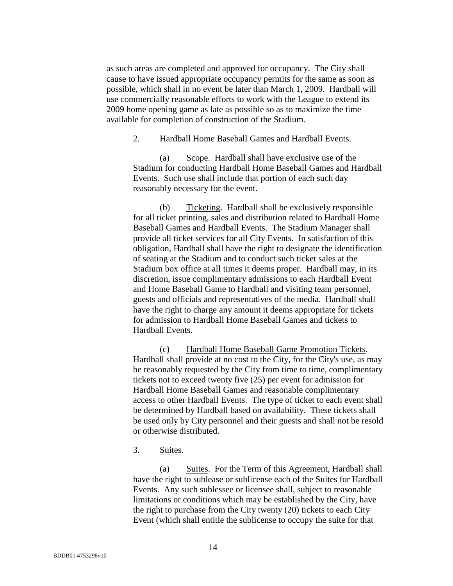as such areas are completed and approved for occupancy. The City shall cause to have issued appropriate occupancy permits for the same as soon as possible, which shall in no event be later than March 1, 2009. Hardball will use commercially reasonable efforts to work with the League to extend its 2009 home opening game as late as possible so as to maximize the time available for completion of construction of the Stadium.

2. Hardball Home Baseball Games and Hardball Events.

(a) Scope. Hardball shall have exclusive use of the Stadium for conducting Hardball Home Baseball Games and Hardball Events. Such use shall include that portion of each such day reasonably necessary for the event.

(b) Ticketing. Hardball shall be exclusively responsible for all ticket printing, sales and distribution related to Hardball Home Baseball Games and Hardball Events. The Stadium Manager shall provide all ticket services for all City Events. In satisfaction of this obligation, Hardball shall have the right to designate the identification of seating at the Stadium and to conduct such ticket sales at the Stadium box office at all times it deems proper. Hardball may, in its discretion, issue complimentary admissions to each Hardball Event and Home Baseball Game to Hardball and visiting team personnel, guests and officials and representatives of the media. Hardball shall have the right to charge any amount it deems appropriate for tickets for admission to Hardball Home Baseball Games and tickets to Hardball Events.

(c) Hardball Home Baseball Game Promotion Tickets. Hardball shall provide at no cost to the City, for the City's use, as may be reasonably requested by the City from time to time, complimentary tickets not to exceed twenty five (25) per event for admission for Hardball Home Baseball Games and reasonable complimentary access to other Hardball Events. The type of ticket to each event shall be determined by Hardball based on availability. These tickets shall be used only by City personnel and their guests and shall not be resold or otherwise distributed.

3. Suites.

(a) Suites. For the Term of this Agreement, Hardball shall have the right to sublease or sublicense each of the Suites for Hardball Events. Any such sublessee or licensee shall, subject to reasonable limitations or conditions which may be established by the City, have the right to purchase from the City twenty (20) tickets to each City Event (which shall entitle the sublicense to occupy the suite for that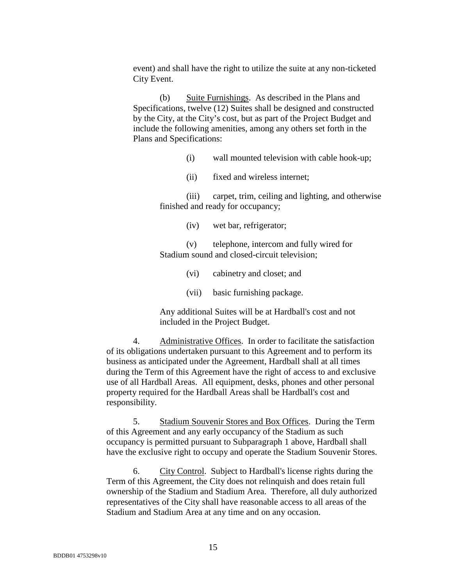event) and shall have the right to utilize the suite at any non-ticketed City Event.

(b) Suite Furnishings. As described in the Plans and Specifications, twelve (12) Suites shall be designed and constructed by the City, at the City's cost, but as part of the Project Budget and include the following amenities, among any others set forth in the Plans and Specifications:

- (i) wall mounted television with cable hook-up;
- (ii) fixed and wireless internet;

(iii) carpet, trim, ceiling and lighting, and otherwise finished and ready for occupancy;

(iv) wet bar, refrigerator;

(v) telephone, intercom and fully wired for Stadium sound and closed-circuit television;

- (vi) cabinetry and closet; and
- (vii) basic furnishing package.

Any additional Suites will be at Hardball's cost and not included in the Project Budget.

4. Administrative Offices. In order to facilitate the satisfaction of its obligations undertaken pursuant to this Agreement and to perform its business as anticipated under the Agreement, Hardball shall at all times during the Term of this Agreement have the right of access to and exclusive use of all Hardball Areas. All equipment, desks, phones and other personal property required for the Hardball Areas shall be Hardball's cost and responsibility.

5. Stadium Souvenir Stores and Box Offices. During the Term of this Agreement and any early occupancy of the Stadium as such occupancy is permitted pursuant to Subparagraph 1 above, Hardball shall have the exclusive right to occupy and operate the Stadium Souvenir Stores.

6. City Control. Subject to Hardball's license rights during the Term of this Agreement, the City does not relinquish and does retain full ownership of the Stadium and Stadium Area. Therefore, all duly authorized representatives of the City shall have reasonable access to all areas of the Stadium and Stadium Area at any time and on any occasion.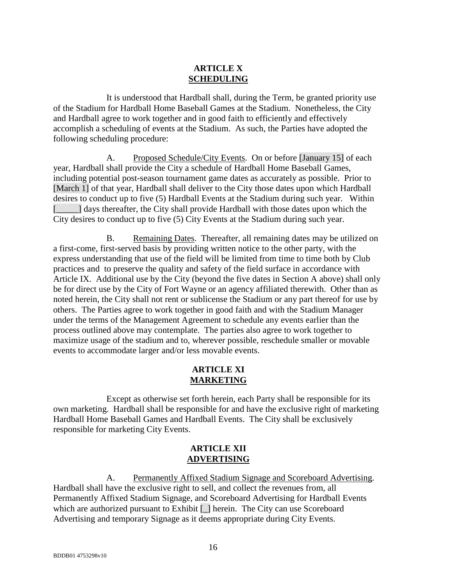#### **ARTICLE X SCHEDULING**

It is understood that Hardball shall, during the Term, be granted priority use of the Stadium for Hardball Home Baseball Games at the Stadium. Nonetheless, the City and Hardball agree to work together and in good faith to efficiently and effectively accomplish a scheduling of events at the Stadium. As such, the Parties have adopted the following scheduling procedure:

A. Proposed Schedule/City Events. On or before [January 15] of each year, Hardball shall provide the City a schedule of Hardball Home Baseball Games, including potential post-season tournament game dates as accurately as possible. Prior to [March 1] of that year, Hardball shall deliver to the City those dates upon which Hardball desires to conduct up to five (5) Hardball Events at the Stadium during such year. Within [\_\_\_\_\_] days thereafter, the City shall provide Hardball with those dates upon which the City desires to conduct up to five (5) City Events at the Stadium during such year.

B. Remaining Dates. Thereafter, all remaining dates may be utilized on a first-come, first-served basis by providing written notice to the other party, with the express understanding that use of the field will be limited from time to time both by Club practices and to preserve the quality and safety of the field surface in accordance with Article IX. Additional use by the City (beyond the five dates in Section A above) shall only be for direct use by the City of Fort Wayne or an agency affiliated therewith. Other than as noted herein, the City shall not rent or sublicense the Stadium or any part thereof for use by others. The Parties agree to work together in good faith and with the Stadium Manager under the terms of the Management Agreement to schedule any events earlier than the process outlined above may contemplate. The parties also agree to work together to maximize usage of the stadium and to, wherever possible, reschedule smaller or movable events to accommodate larger and/or less movable events.

## **ARTICLE XI MARKETING**

Except as otherwise set forth herein, each Party shall be responsible for its own marketing. Hardball shall be responsible for and have the exclusive right of marketing Hardball Home Baseball Games and Hardball Events. The City shall be exclusively responsible for marketing City Events.

### **ARTICLE XII ADVERTISING**

A. Permanently Affixed Stadium Signage and Scoreboard Advertising. Hardball shall have the exclusive right to sell, and collect the revenues from, all Permanently Affixed Stadium Signage, and Scoreboard Advertising for Hardball Events which are authorized pursuant to Exhibit [\_] herein. The City can use Scoreboard Advertising and temporary Signage as it deems appropriate during City Events.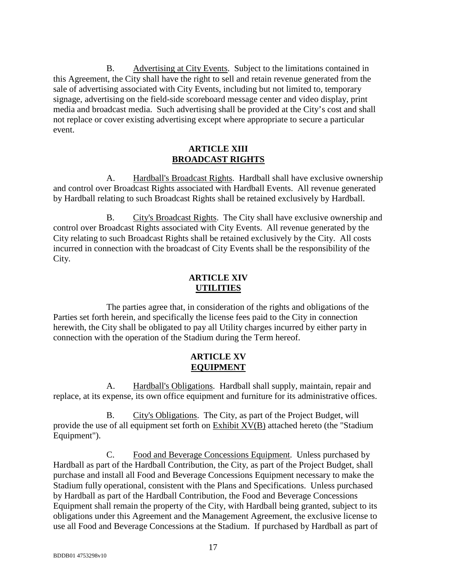B. Advertising at City Events. Subject to the limitations contained in this Agreement, the City shall have the right to sell and retain revenue generated from the sale of advertising associated with City Events, including but not limited to, temporary signage, advertising on the field-side scoreboard message center and video display, print media and broadcast media. Such advertising shall be provided at the City's cost and shall not replace or cover existing advertising except where appropriate to secure a particular event.

#### **ARTICLE XIII BROADCAST RIGHTS**

A. Hardball's Broadcast Rights. Hardball shall have exclusive ownership and control over Broadcast Rights associated with Hardball Events. All revenue generated by Hardball relating to such Broadcast Rights shall be retained exclusively by Hardball.

B. City's Broadcast Rights. The City shall have exclusive ownership and control over Broadcast Rights associated with City Events. All revenue generated by the City relating to such Broadcast Rights shall be retained exclusively by the City. All costs incurred in connection with the broadcast of City Events shall be the responsibility of the City.

### **ARTICLE XIV UTILITIES**

The parties agree that, in consideration of the rights and obligations of the Parties set forth herein, and specifically the license fees paid to the City in connection herewith, the City shall be obligated to pay all Utility charges incurred by either party in connection with the operation of the Stadium during the Term hereof.

### **ARTICLE XV EQUIPMENT**

A. Hardball's Obligations. Hardball shall supply, maintain, repair and replace, at its expense, its own office equipment and furniture for its administrative offices.

B. City's Obligations. The City, as part of the Project Budget, will provide the use of all equipment set forth on  $Exhibit XV(B)$  attached hereto (the "Stadium Equipment").

C. Food and Beverage Concessions Equipment. Unless purchased by Hardball as part of the Hardball Contribution, the City, as part of the Project Budget, shall purchase and install all Food and Beverage Concessions Equipment necessary to make the Stadium fully operational, consistent with the Plans and Specifications. Unless purchased by Hardball as part of the Hardball Contribution, the Food and Beverage Concessions Equipment shall remain the property of the City, with Hardball being granted, subject to its obligations under this Agreement and the Management Agreement, the exclusive license to use all Food and Beverage Concessions at the Stadium. If purchased by Hardball as part of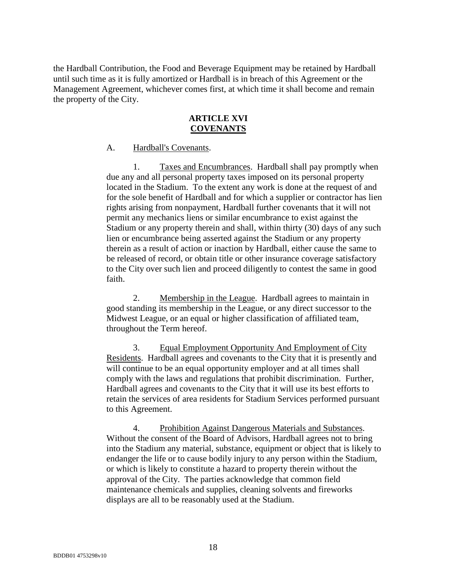the Hardball Contribution, the Food and Beverage Equipment may be retained by Hardball until such time as it is fully amortized or Hardball is in breach of this Agreement or the Management Agreement, whichever comes first, at which time it shall become and remain the property of the City.

### **ARTICLE XVI COVENANTS**

#### A. Hardball's Covenants.

1. Taxes and Encumbrances. Hardball shall pay promptly when due any and all personal property taxes imposed on its personal property located in the Stadium. To the extent any work is done at the request of and for the sole benefit of Hardball and for which a supplier or contractor has lien rights arising from nonpayment, Hardball further covenants that it will not permit any mechanics liens or similar encumbrance to exist against the Stadium or any property therein and shall, within thirty (30) days of any such lien or encumbrance being asserted against the Stadium or any property therein as a result of action or inaction by Hardball, either cause the same to be released of record, or obtain title or other insurance coverage satisfactory to the City over such lien and proceed diligently to contest the same in good faith.

2. Membership in the League. Hardball agrees to maintain in good standing its membership in the League, or any direct successor to the Midwest League, or an equal or higher classification of affiliated team, throughout the Term hereof.

3. Equal Employment Opportunity And Employment of City Residents. Hardball agrees and covenants to the City that it is presently and will continue to be an equal opportunity employer and at all times shall comply with the laws and regulations that prohibit discrimination. Further, Hardball agrees and covenants to the City that it will use its best efforts to retain the services of area residents for Stadium Services performed pursuant to this Agreement.

4. Prohibition Against Dangerous Materials and Substances. Without the consent of the Board of Advisors, Hardball agrees not to bring into the Stadium any material, substance, equipment or object that is likely to endanger the life or to cause bodily injury to any person within the Stadium, or which is likely to constitute a hazard to property therein without the approval of the City. The parties acknowledge that common field maintenance chemicals and supplies, cleaning solvents and fireworks displays are all to be reasonably used at the Stadium.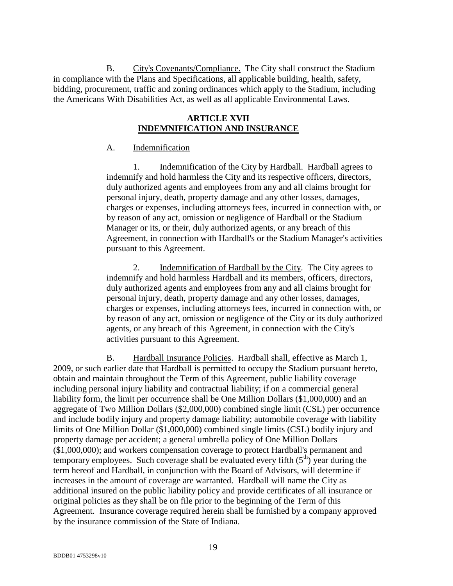B. City's Covenants/Compliance. The City shall construct the Stadium in compliance with the Plans and Specifications, all applicable building, health, safety, bidding, procurement, traffic and zoning ordinances which apply to the Stadium, including the Americans With Disabilities Act, as well as all applicable Environmental Laws.

## **ARTICLE XVII INDEMNIFICATION AND INSURANCE**

#### A. Indemnification

1. Indemnification of the City by Hardball. Hardball agrees to indemnify and hold harmless the City and its respective officers, directors, duly authorized agents and employees from any and all claims brought for personal injury, death, property damage and any other losses, damages, charges or expenses, including attorneys fees, incurred in connection with, or by reason of any act, omission or negligence of Hardball or the Stadium Manager or its, or their, duly authorized agents, or any breach of this Agreement, in connection with Hardball's or the Stadium Manager's activities pursuant to this Agreement.

2. Indemnification of Hardball by the City. The City agrees to indemnify and hold harmless Hardball and its members, officers, directors, duly authorized agents and employees from any and all claims brought for personal injury, death, property damage and any other losses, damages, charges or expenses, including attorneys fees, incurred in connection with, or by reason of any act, omission or negligence of the City or its duly authorized agents, or any breach of this Agreement, in connection with the City's activities pursuant to this Agreement.

B. Hardball Insurance Policies. Hardball shall, effective as March 1, 2009, or such earlier date that Hardball is permitted to occupy the Stadium pursuant hereto, obtain and maintain throughout the Term of this Agreement, public liability coverage including personal injury liability and contractual liability; if on a commercial general liability form, the limit per occurrence shall be One Million Dollars (\$1,000,000) and an aggregate of Two Million Dollars (\$2,000,000) combined single limit (CSL) per occurrence and include bodily injury and property damage liability; automobile coverage with liability limits of One Million Dollar (\$1,000,000) combined single limits (CSL) bodily injury and property damage per accident; a general umbrella policy of One Million Dollars (\$1,000,000); and workers compensation coverage to protect Hardball's permanent and temporary employees. Such coverage shall be evaluated every fifth  $(5<sup>th</sup>)$  year during the term hereof and Hardball, in conjunction with the Board of Advisors, will determine if increases in the amount of coverage are warranted. Hardball will name the City as additional insured on the public liability policy and provide certificates of all insurance or original policies as they shall be on file prior to the beginning of the Term of this Agreement. Insurance coverage required herein shall be furnished by a company approved by the insurance commission of the State of Indiana.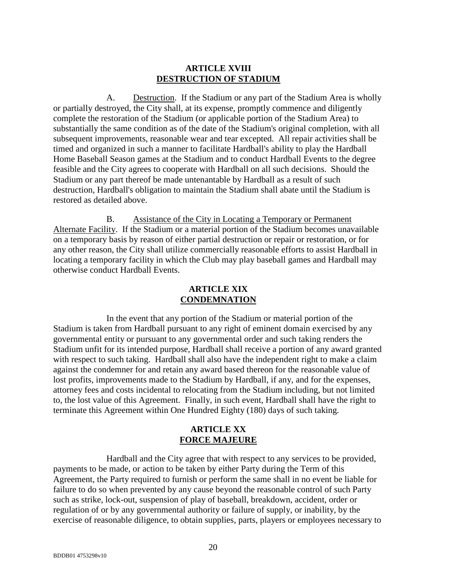#### **ARTICLE XVIII DESTRUCTION OF STADIUM**

A. Destruction. If the Stadium or any part of the Stadium Area is wholly or partially destroyed, the City shall, at its expense, promptly commence and diligently complete the restoration of the Stadium (or applicable portion of the Stadium Area) to substantially the same condition as of the date of the Stadium's original completion, with all subsequent improvements, reasonable wear and tear excepted. All repair activities shall be timed and organized in such a manner to facilitate Hardball's ability to play the Hardball Home Baseball Season games at the Stadium and to conduct Hardball Events to the degree feasible and the City agrees to cooperate with Hardball on all such decisions. Should the Stadium or any part thereof be made untenantable by Hardball as a result of such destruction, Hardball's obligation to maintain the Stadium shall abate until the Stadium is restored as detailed above.

B. Assistance of the City in Locating a Temporary or Permanent Alternate Facility. If the Stadium or a material portion of the Stadium becomes unavailable on a temporary basis by reason of either partial destruction or repair or restoration, or for any other reason, the City shall utilize commercially reasonable efforts to assist Hardball in locating a temporary facility in which the Club may play baseball games and Hardball may otherwise conduct Hardball Events.

## **ARTICLE XIX CONDEMNATION**

In the event that any portion of the Stadium or material portion of the Stadium is taken from Hardball pursuant to any right of eminent domain exercised by any governmental entity or pursuant to any governmental order and such taking renders the Stadium unfit for its intended purpose, Hardball shall receive a portion of any award granted with respect to such taking. Hardball shall also have the independent right to make a claim against the condemner for and retain any award based thereon for the reasonable value of lost profits, improvements made to the Stadium by Hardball, if any, and for the expenses, attorney fees and costs incidental to relocating from the Stadium including, but not limited to, the lost value of this Agreement. Finally, in such event, Hardball shall have the right to terminate this Agreement within One Hundred Eighty (180) days of such taking.

### **ARTICLE XX FORCE MAJEURE**

Hardball and the City agree that with respect to any services to be provided, payments to be made, or action to be taken by either Party during the Term of this Agreement, the Party required to furnish or perform the same shall in no event be liable for failure to do so when prevented by any cause beyond the reasonable control of such Party such as strike, lock-out, suspension of play of baseball, breakdown, accident, order or regulation of or by any governmental authority or failure of supply, or inability, by the exercise of reasonable diligence, to obtain supplies, parts, players or employees necessary to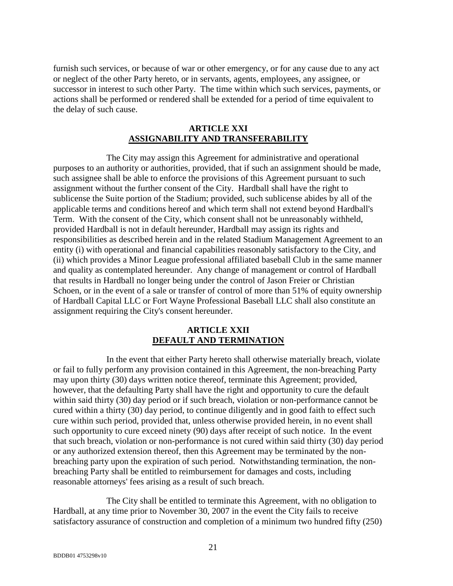furnish such services, or because of war or other emergency, or for any cause due to any act or neglect of the other Party hereto, or in servants, agents, employees, any assignee, or successor in interest to such other Party. The time within which such services, payments, or actions shall be performed or rendered shall be extended for a period of time equivalent to the delay of such cause.

### **ARTICLE XXI ASSIGNABILITY AND TRANSFERABILITY**

The City may assign this Agreement for administrative and operational purposes to an authority or authorities, provided, that if such an assignment should be made, such assignee shall be able to enforce the provisions of this Agreement pursuant to such assignment without the further consent of the City. Hardball shall have the right to sublicense the Suite portion of the Stadium; provided, such sublicense abides by all of the applicable terms and conditions hereof and which term shall not extend beyond Hardball's Term. With the consent of the City, which consent shall not be unreasonably withheld, provided Hardball is not in default hereunder, Hardball may assign its rights and responsibilities as described herein and in the related Stadium Management Agreement to an entity (i) with operational and financial capabilities reasonably satisfactory to the City, and (ii) which provides a Minor League professional affiliated baseball Club in the same manner and quality as contemplated hereunder. Any change of management or control of Hardball that results in Hardball no longer being under the control of Jason Freier or Christian Schoen, or in the event of a sale or transfer of control of more than 51% of equity ownership of Hardball Capital LLC or Fort Wayne Professional Baseball LLC shall also constitute an assignment requiring the City's consent hereunder.

### **ARTICLE XXII DEFAULT AND TERMINATION**

In the event that either Party hereto shall otherwise materially breach, violate or fail to fully perform any provision contained in this Agreement, the non-breaching Party may upon thirty (30) days written notice thereof, terminate this Agreement; provided, however, that the defaulting Party shall have the right and opportunity to cure the default within said thirty (30) day period or if such breach, violation or non-performance cannot be cured within a thirty (30) day period, to continue diligently and in good faith to effect such cure within such period, provided that, unless otherwise provided herein, in no event shall such opportunity to cure exceed ninety (90) days after receipt of such notice. In the event that such breach, violation or non-performance is not cured within said thirty (30) day period or any authorized extension thereof, then this Agreement may be terminated by the nonbreaching party upon the expiration of such period. Notwithstanding termination, the nonbreaching Party shall be entitled to reimbursement for damages and costs, including reasonable attorneys' fees arising as a result of such breach.

The City shall be entitled to terminate this Agreement, with no obligation to Hardball, at any time prior to November 30, 2007 in the event the City fails to receive satisfactory assurance of construction and completion of a minimum two hundred fifty (250)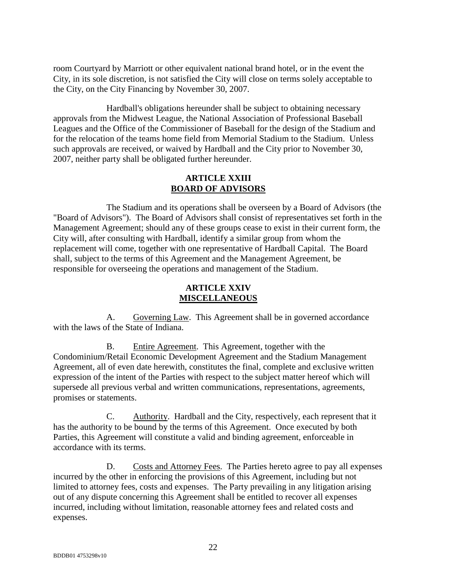room Courtyard by Marriott or other equivalent national brand hotel, or in the event the City, in its sole discretion, is not satisfied the City will close on terms solely acceptable to the City, on the City Financing by November 30, 2007.

Hardball's obligations hereunder shall be subject to obtaining necessary approvals from the Midwest League, the National Association of Professional Baseball Leagues and the Office of the Commissioner of Baseball for the design of the Stadium and for the relocation of the teams home field from Memorial Stadium to the Stadium. Unless such approvals are received, or waived by Hardball and the City prior to November 30, 2007, neither party shall be obligated further hereunder.

### **ARTICLE XXIII BOARD OF ADVISORS**

The Stadium and its operations shall be overseen by a Board of Advisors (the "Board of Advisors"). The Board of Advisors shall consist of representatives set forth in the Management Agreement; should any of these groups cease to exist in their current form, the City will, after consulting with Hardball, identify a similar group from whom the replacement will come, together with one representative of Hardball Capital. The Board shall, subject to the terms of this Agreement and the Management Agreement, be responsible for overseeing the operations and management of the Stadium.

## **ARTICLE XXIV MISCELLANEOUS**

A. Governing Law. This Agreement shall be in governed accordance with the laws of the State of Indiana.

B. Entire Agreement. This Agreement, together with the Condominium/Retail Economic Development Agreement and the Stadium Management Agreement, all of even date herewith, constitutes the final, complete and exclusive written expression of the intent of the Parties with respect to the subject matter hereof which will supersede all previous verbal and written communications, representations, agreements, promises or statements.

C. Authority. Hardball and the City, respectively, each represent that it has the authority to be bound by the terms of this Agreement. Once executed by both Parties, this Agreement will constitute a valid and binding agreement, enforceable in accordance with its terms.

D. Costs and Attorney Fees. The Parties hereto agree to pay all expenses incurred by the other in enforcing the provisions of this Agreement, including but not limited to attorney fees, costs and expenses. The Party prevailing in any litigation arising out of any dispute concerning this Agreement shall be entitled to recover all expenses incurred, including without limitation, reasonable attorney fees and related costs and expenses.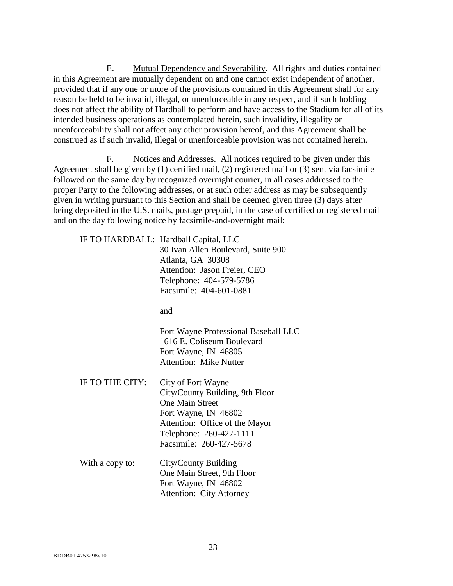E. Mutual Dependency and Severability. All rights and duties contained in this Agreement are mutually dependent on and one cannot exist independent of another, provided that if any one or more of the provisions contained in this Agreement shall for any reason be held to be invalid, illegal, or unenforceable in any respect, and if such holding does not affect the ability of Hardball to perform and have access to the Stadium for all of its intended business operations as contemplated herein, such invalidity, illegality or unenforceability shall not affect any other provision hereof, and this Agreement shall be construed as if such invalid, illegal or unenforceable provision was not contained herein.

F. Notices and Addresses. All notices required to be given under this Agreement shall be given by (1) certified mail, (2) registered mail or (3) sent via facsimile followed on the same day by recognized overnight courier, in all cases addressed to the proper Party to the following addresses, or at such other address as may be subsequently given in writing pursuant to this Section and shall be deemed given three (3) days after being deposited in the U.S. mails, postage prepaid, in the case of certified or registered mail and on the day following notice by facsimile-and-overnight mail:

IF TO HARDBALL: Hardball Capital, LLC

 30 Ivan Allen Boulevard, Suite 900 Atlanta, GA 30308 Attention: Jason Freier, CEO Telephone: 404-579-5786 Facsimile: 404-601-0881

and and state and state and state and state and state and state and state and state and state and state and state and state and state and state and state and state and state and state and state and state and state and stat

 Fort Wayne Professional Baseball LLC 1616 E. Coliseum Boulevard Fort Wayne, IN 46805 Attention: Mike Nutter

- IF TO THE CITY: City of Fort Wayne City/County Building, 9th Floor One Main Street Fort Wayne, IN 46802 Attention: Office of the Mayor Telephone: 260-427-1111 Facsimile: 260-427-5678
- With a copy to: City/County Building One Main Street, 9th Floor Fort Wayne, IN 46802 Attention: City Attorney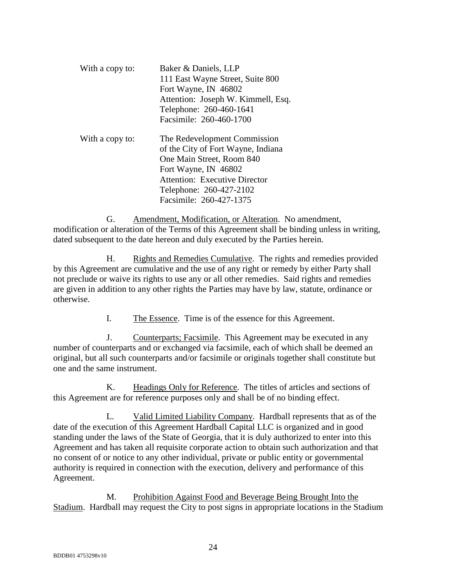| With a copy to: | Baker & Daniels, LLP<br>111 East Wayne Street, Suite 800<br>Fort Wayne, IN 46802<br>Attention: Joseph W. Kimmell, Esq.<br>Telephone: 260-460-1641<br>Facsimile: 260-460-1700                                          |
|-----------------|-----------------------------------------------------------------------------------------------------------------------------------------------------------------------------------------------------------------------|
| With a copy to: | The Redevelopment Commission<br>of the City of Fort Wayne, Indiana<br>One Main Street, Room 840<br>Fort Wayne, IN 46802<br><b>Attention: Executive Director</b><br>Telephone: 260-427-2102<br>Facsimile: 260-427-1375 |

G. Amendment, Modification, or Alteration. No amendment, modification or alteration of the Terms of this Agreement shall be binding unless in writing, dated subsequent to the date hereon and duly executed by the Parties herein.

H. Rights and Remedies Cumulative. The rights and remedies provided by this Agreement are cumulative and the use of any right or remedy by either Party shall not preclude or waive its rights to use any or all other remedies. Said rights and remedies are given in addition to any other rights the Parties may have by law, statute, ordinance or otherwise.

I. The Essence. Time is of the essence for this Agreement.

J. Counterparts; Facsimile. This Agreement may be executed in any number of counterparts and or exchanged via facsimile, each of which shall be deemed an original, but all such counterparts and/or facsimile or originals together shall constitute but one and the same instrument.

K. Headings Only for Reference. The titles of articles and sections of this Agreement are for reference purposes only and shall be of no binding effect.

L. Valid Limited Liability Company. Hardball represents that as of the date of the execution of this Agreement Hardball Capital LLC is organized and in good standing under the laws of the State of Georgia, that it is duly authorized to enter into this Agreement and has taken all requisite corporate action to obtain such authorization and that no consent of or notice to any other individual, private or public entity or governmental authority is required in connection with the execution, delivery and performance of this Agreement.

M. Prohibition Against Food and Beverage Being Brought Into the Stadium. Hardball may request the City to post signs in appropriate locations in the Stadium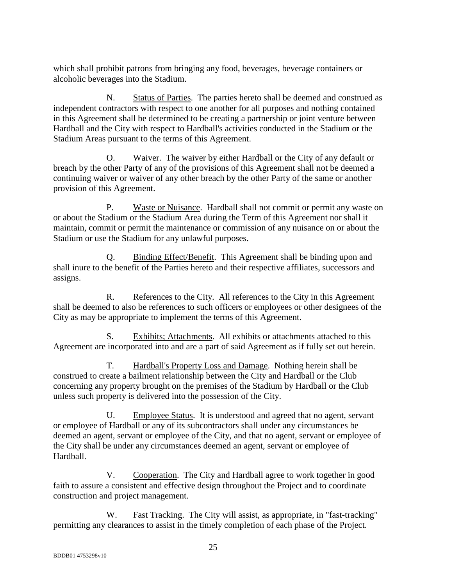which shall prohibit patrons from bringing any food, beverages, beverage containers or alcoholic beverages into the Stadium.

N. Status of Parties. The parties hereto shall be deemed and construed as independent contractors with respect to one another for all purposes and nothing contained in this Agreement shall be determined to be creating a partnership or joint venture between Hardball and the City with respect to Hardball's activities conducted in the Stadium or the Stadium Areas pursuant to the terms of this Agreement.

O. Waiver. The waiver by either Hardball or the City of any default or breach by the other Party of any of the provisions of this Agreement shall not be deemed a continuing waiver or waiver of any other breach by the other Party of the same or another provision of this Agreement.

P. Waste or Nuisance. Hardball shall not commit or permit any waste on or about the Stadium or the Stadium Area during the Term of this Agreement nor shall it maintain, commit or permit the maintenance or commission of any nuisance on or about the Stadium or use the Stadium for any unlawful purposes.

Q. Binding Effect/Benefit. This Agreement shall be binding upon and shall inure to the benefit of the Parties hereto and their respective affiliates, successors and assigns.

R. References to the City. All references to the City in this Agreement shall be deemed to also be references to such officers or employees or other designees of the City as may be appropriate to implement the terms of this Agreement.

S. Exhibits; Attachments. All exhibits or attachments attached to this Agreement are incorporated into and are a part of said Agreement as if fully set out herein.

T. Hardball's Property Loss and Damage. Nothing herein shall be construed to create a bailment relationship between the City and Hardball or the Club concerning any property brought on the premises of the Stadium by Hardball or the Club unless such property is delivered into the possession of the City.

U. Employee Status. It is understood and agreed that no agent, servant or employee of Hardball or any of its subcontractors shall under any circumstances be deemed an agent, servant or employee of the City, and that no agent, servant or employee of the City shall be under any circumstances deemed an agent, servant or employee of Hardball.

V. Cooperation. The City and Hardball agree to work together in good faith to assure a consistent and effective design throughout the Project and to coordinate construction and project management.

W. Fast Tracking. The City will assist, as appropriate, in "fast-tracking" permitting any clearances to assist in the timely completion of each phase of the Project.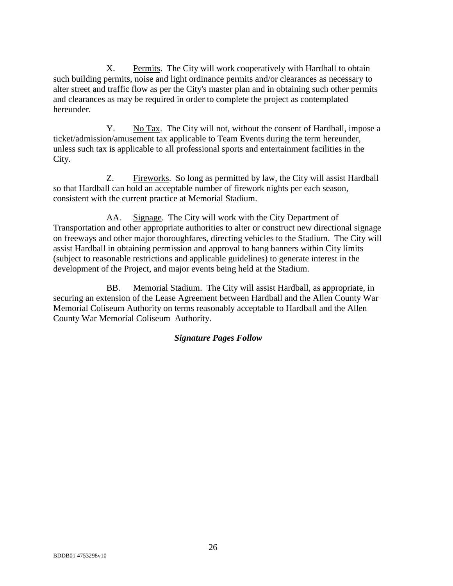X. Permits. The City will work cooperatively with Hardball to obtain such building permits, noise and light ordinance permits and/or clearances as necessary to alter street and traffic flow as per the City's master plan and in obtaining such other permits and clearances as may be required in order to complete the project as contemplated hereunder.

Y. No Tax. The City will not, without the consent of Hardball, impose a ticket/admission/amusement tax applicable to Team Events during the term hereunder, unless such tax is applicable to all professional sports and entertainment facilities in the City.

Z. Fireworks. So long as permitted by law, the City will assist Hardball so that Hardball can hold an acceptable number of firework nights per each season, consistent with the current practice at Memorial Stadium.

AA. Signage. The City will work with the City Department of Transportation and other appropriate authorities to alter or construct new directional signage on freeways and other major thoroughfares, directing vehicles to the Stadium. The City will assist Hardball in obtaining permission and approval to hang banners within City limits (subject to reasonable restrictions and applicable guidelines) to generate interest in the development of the Project, and major events being held at the Stadium.

BB. Memorial Stadium. The City will assist Hardball, as appropriate, in securing an extension of the Lease Agreement between Hardball and the Allen County War Memorial Coliseum Authority on terms reasonably acceptable to Hardball and the Allen County War Memorial Coliseum Authority.

## *Signature Pages Follow*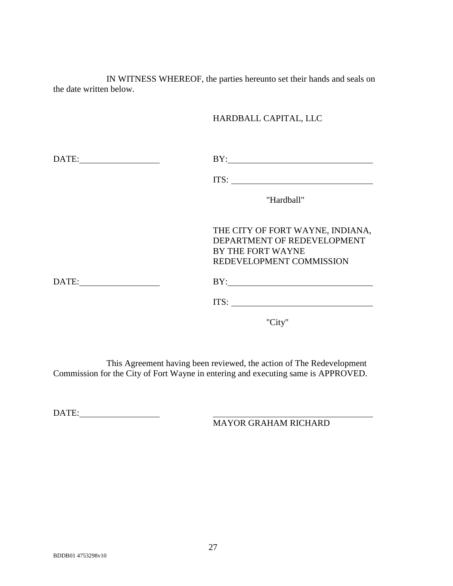IN WITNESS WHEREOF, the parties hereunto set their hands and seals on the date written below.

## HARDBALL CAPITAL, LLC

| DATE: | BY:                                                                                                              |
|-------|------------------------------------------------------------------------------------------------------------------|
|       | ITS:                                                                                                             |
|       | "Hardball"                                                                                                       |
|       | THE CITY OF FORT WAYNE, INDIANA,<br>DEPARTMENT OF REDEVELOPMENT<br>BY THE FORT WAYNE<br>REDEVELOPMENT COMMISSION |
| DATE: | BY:                                                                                                              |
|       | ITS:                                                                                                             |

"City"

This Agreement having been reviewed, the action of The Redevelopment Commission for the City of Fort Wayne in entering and executing same is APPROVED.

DATE:

MAYOR GRAHAM RICHARD